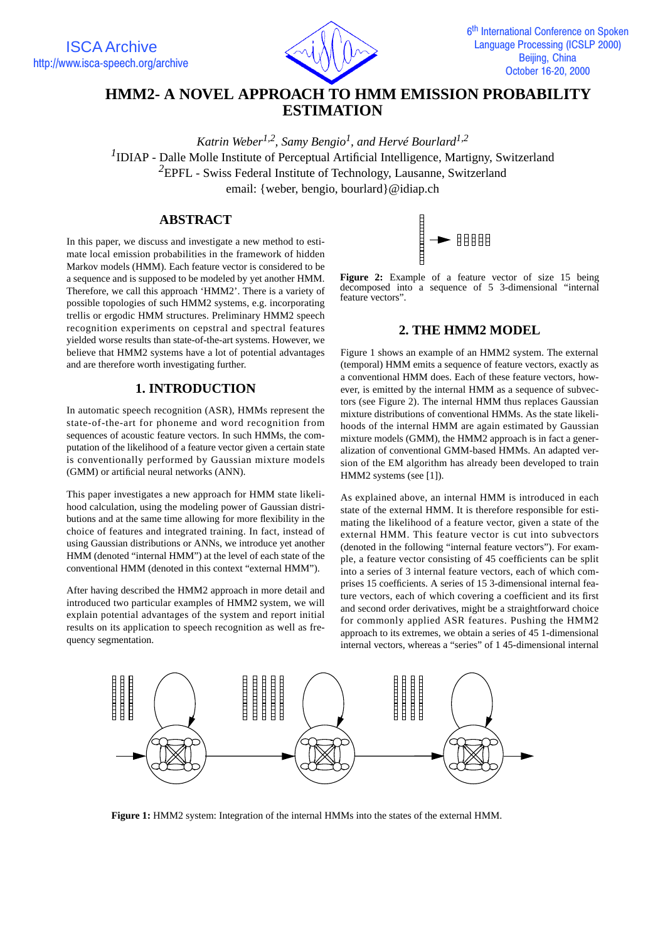



# **HMM2- A NOVEL APPROACH TO HMM EMISSION PROBABILITY ESTIMATION**

*Katrin Weber1,2, Samy Bengio1 , and Hervé Bourlard1,2* <sup>1</sup>IDIAP - Dalle Molle Institute of Perceptual Artificial Intelligence, Martigny, Switzerland *<sup>2</sup>*EPFL - Swiss Federal Institute of Technology, Lausanne, Switzerland email: {weber, bengio, bourlard}@idiap.ch

### **ABSTRACT**

In this paper, we discuss and investigate a new method to estimate local emission probabilities in the framework of hidden Markov models (HMM). Each feature vector is considered to be a sequence and is supposed to be modeled by yet another HMM. Therefore, we call this approach 'HMM2'. There is a variety of possible topologies of such HMM2 systems, e.g. incorporating trellis or ergodic HMM structures. Preliminary HMM2 speech recognition experiments on cepstral and spectral features yielded worse results than state-of-the-art systems. However, we believe that HMM2 systems have a lot of potential advantages and are therefore worth investigating further.

## **1. INTRODUCTION**

In automatic speech recognition (ASR), HMMs represent the state-of-the-art for phoneme and word recognition from sequences of acoustic feature vectors. In such HMMs, the computation of the likelihood of a feature vector given a certain state is conventionally performed by Gaussian mixture models (GMM) or artificial neural networks (ANN).

This paper investigates a new approach for HMM state likelihood calculation, using the modeling power of Gaussian distributions and at the same time allowing for more flexibility in the choice of features and integrated training. In fact, instead of using Gaussian distributions or ANNs, we introduce yet another HMM (denoted "internal HMM") at the level of each state of the conventional HMM (denoted in this context "external HMM").

After having described the HMM2 approach in more detail and introduced two particular examples of HMM2 system, we will explain potential advantages of the system and report initial results on its application to speech recognition as well as frequency segmentation.



**Figure 2:** Example of a feature vector of size 15 being decomposed into a sequence of 5 3-dimensional "internal feature vectors".

### **2. THE HMM2 MODEL**

Figure 1 shows an example of an HMM2 system. The external (temporal) HMM emits a sequence of feature vectors, exactly as a conventional HMM does. Each of these feature vectors, however, is emitted by the internal HMM as a sequence of subvectors (see Figure 2). The internal HMM thus replaces Gaussian mixture distributions of conventional HMMs. As the state likelihoods of the internal HMM are again estimated by Gaussian mixture models (GMM), the HMM2 approach is in fact a generalization of conventional GMM-based HMMs. An adapted version of the EM algorithm has already been developed to train HMM2 systems (see [1]).

As explained above, an internal HMM is introduced in each state of the external HMM. It is therefore responsible for estimating the likelihood of a feature vector, given a state of the external HMM. This feature vector is cut into subvectors (denoted in the following "internal feature vectors"). For example, a feature vector consisting of 45 coefficients can be split into a series of 3 internal feature vectors, each of which comprises 15 coefficients. A series of 15 3-dimensional internal feature vectors, each of which covering a coefficient and its first and second order derivatives, might be a straightforward choice for commonly applied ASR features. Pushing the HMM2 approach to its extremes, we obtain a series of 45 1-dimensional internal vectors, whereas a "series" of 1 45-dimensional internal



**Figure 1:** HMM2 system: Integration of the internal HMMs into the states of the external HMM.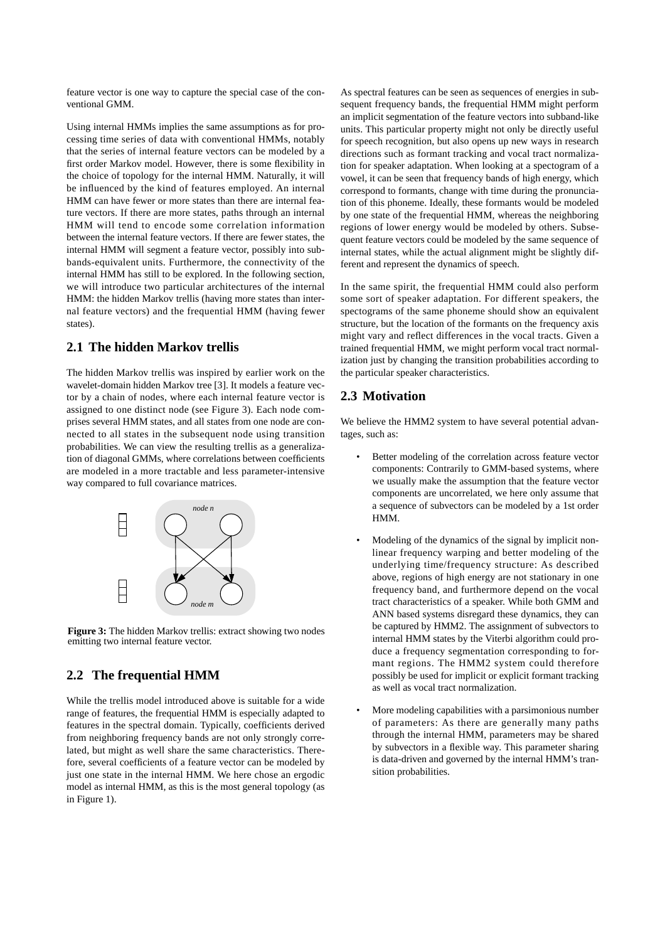feature vector is one way to capture the special case of the conventional GMM.

Using internal HMMs implies the same assumptions as for processing time series of data with conventional HMMs, notably that the series of internal feature vectors can be modeled by a first order Markov model. However, there is some flexibility in the choice of topology for the internal HMM. Naturally, it will be influenced by the kind of features employed. An internal HMM can have fewer or more states than there are internal feature vectors. If there are more states, paths through an internal HMM will tend to encode some correlation information between the internal feature vectors. If there are fewer states, the internal HMM will segment a feature vector, possibly into subbands-equivalent units. Furthermore, the connectivity of the internal HMM has still to be explored. In the following section, we will introduce two particular architectures of the internal HMM: the hidden Markov trellis (having more states than internal feature vectors) and the frequential HMM (having fewer states).

### **2.1 The hidden Markov trellis**

The hidden Markov trellis was inspired by earlier work on the wavelet-domain hidden Markov tree [3]. It models a feature vector by a chain of nodes, where each internal feature vector is assigned to one distinct node (see Figure 3). Each node comprises several HMM states, and all states from one node are connected to all states in the subsequent node using transition probabilities. We can view the resulting trellis as a generalization of diagonal GMMs, where correlations between coefficients are modeled in a more tractable and less parameter-intensive way compared to full covariance matrices.



**Figure 3:** The hidden Markov trellis: extract showing two nodes emitting two internal feature vector.

## **2.2 The frequential HMM**

While the trellis model introduced above is suitable for a wide range of features, the frequential HMM is especially adapted to features in the spectral domain. Typically, coefficients derived from neighboring frequency bands are not only strongly correlated, but might as well share the same characteristics. Therefore, several coefficients of a feature vector can be modeled by just one state in the internal HMM. We here chose an ergodic model as internal HMM, as this is the most general topology (as in Figure 1).

As spectral features can be seen as sequences of energies in subsequent frequency bands, the frequential HMM might perform an implicit segmentation of the feature vectors into subband-like units. This particular property might not only be directly useful for speech recognition, but also opens up new ways in research directions such as formant tracking and vocal tract normalization for speaker adaptation. When looking at a spectogram of a vowel, it can be seen that frequency bands of high energy, which correspond to formants, change with time during the pronunciation of this phoneme. Ideally, these formants would be modeled by one state of the frequential HMM, whereas the neighboring regions of lower energy would be modeled by others. Subsequent feature vectors could be modeled by the same sequence of internal states, while the actual alignment might be slightly different and represent the dynamics of speech.

In the same spirit, the frequential HMM could also perform some sort of speaker adaptation. For different speakers, the spectograms of the same phoneme should show an equivalent structure, but the location of the formants on the frequency axis might vary and reflect differences in the vocal tracts. Given a trained frequential HMM, we might perform vocal tract normalization just by changing the transition probabilities according to the particular speaker characteristics.

## **2.3 Motivation**

We believe the HMM2 system to have several potential advantages, such as:

- Better modeling of the correlation across feature vector components: Contrarily to GMM-based systems, where we usually make the assumption that the feature vector components are uncorrelated, we here only assume that a sequence of subvectors can be modeled by a 1st order HMM.
- Modeling of the dynamics of the signal by implicit nonlinear frequency warping and better modeling of the underlying time/frequency structure: As described above, regions of high energy are not stationary in one frequency band, and furthermore depend on the vocal tract characteristics of a speaker. While both GMM and ANN based systems disregard these dynamics, they can be captured by HMM2. The assignment of subvectors to internal HMM states by the Viterbi algorithm could produce a frequency segmentation corresponding to formant regions. The HMM2 system could therefore possibly be used for implicit or explicit formant tracking as well as vocal tract normalization.
- More modeling capabilities with a parsimonious number of parameters: As there are generally many paths through the internal HMM, parameters may be shared by subvectors in a flexible way. This parameter sharing is data-driven and governed by the internal HMM's transition probabilities.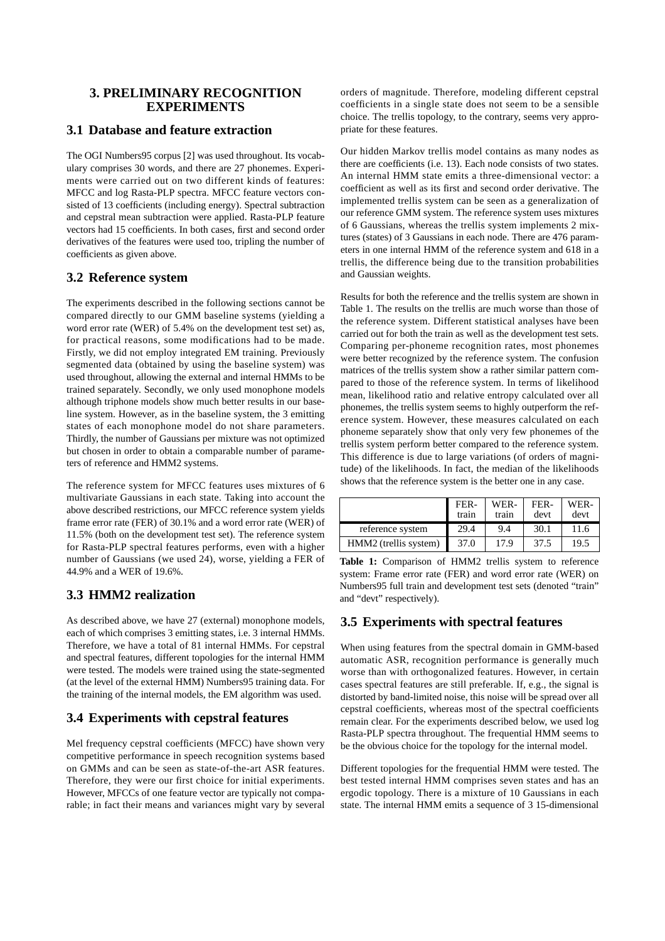### **3. PRELIMINARY RECOGNITION EXPERIMENTS**

### **3.1 Database and feature extraction**

The OGI Numbers95 corpus [2] was used throughout. Its vocabulary comprises 30 words, and there are 27 phonemes. Experiments were carried out on two different kinds of features: MFCC and log Rasta-PLP spectra. MFCC feature vectors consisted of 13 coefficients (including energy). Spectral subtraction and cepstral mean subtraction were applied. Rasta-PLP feature vectors had 15 coefficients. In both cases, first and second order derivatives of the features were used too, tripling the number of coefficients as given above.

### **3.2 Reference system**

The experiments described in the following sections cannot be compared directly to our GMM baseline systems (yielding a word error rate (WER) of 5.4% on the development test set) as, for practical reasons, some modifications had to be made. Firstly, we did not employ integrated EM training. Previously segmented data (obtained by using the baseline system) was used throughout, allowing the external and internal HMMs to be trained separately. Secondly, we only used monophone models although triphone models show much better results in our baseline system. However, as in the baseline system, the 3 emitting states of each monophone model do not share parameters. Thirdly, the number of Gaussians per mixture was not optimized but chosen in order to obtain a comparable number of parameters of reference and HMM2 systems.

The reference system for MFCC features uses mixtures of 6 multivariate Gaussians in each state. Taking into account the above described restrictions, our MFCC reference system yields frame error rate (FER) of 30.1% and a word error rate (WER) of 11.5% (both on the development test set). The reference system for Rasta-PLP spectral features performs, even with a higher number of Gaussians (we used 24), worse, yielding a FER of 44.9% and a WER of 19.6%.

## **3.3 HMM2 realization**

As described above, we have 27 (external) monophone models, each of which comprises 3 emitting states, i.e. 3 internal HMMs. Therefore, we have a total of 81 internal HMMs. For cepstral and spectral features, different topologies for the internal HMM were tested. The models were trained using the state-segmented (at the level of the external HMM) Numbers95 training data. For the training of the internal models, the EM algorithm was used.

## **3.4 Experiments with cepstral features**

Mel frequency cepstral coefficients (MFCC) have shown very competitive performance in speech recognition systems based on GMMs and can be seen as state-of-the-art ASR features. Therefore, they were our first choice for initial experiments. However, MFCCs of one feature vector are typically not comparable; in fact their means and variances might vary by several orders of magnitude. Therefore, modeling different cepstral coefficients in a single state does not seem to be a sensible choice. The trellis topology, to the contrary, seems very appropriate for these features.

Our hidden Markov trellis model contains as many nodes as there are coefficients (i.e. 13). Each node consists of two states. An internal HMM state emits a three-dimensional vector: a coefficient as well as its first and second order derivative. The implemented trellis system can be seen as a generalization of our reference GMM system. The reference system uses mixtures of 6 Gaussians, whereas the trellis system implements 2 mixtures (states) of 3 Gaussians in each node. There are 476 parameters in one internal HMM of the reference system and 618 in a trellis, the difference being due to the transition probabilities and Gaussian weights.

Results for both the reference and the trellis system are shown in Table 1. The results on the trellis are much worse than those of the reference system. Different statistical analyses have been carried out for both the train as well as the development test sets. Comparing per-phoneme recognition rates, most phonemes were better recognized by the reference system. The confusion matrices of the trellis system show a rather similar pattern compared to those of the reference system. In terms of likelihood mean, likelihood ratio and relative entropy calculated over all phonemes, the trellis system seems to highly outperform the reference system. However, these measures calculated on each phoneme separately show that only very few phonemes of the trellis system perform better compared to the reference system. This difference is due to large variations (of orders of magnitude) of the likelihoods. In fact, the median of the likelihoods shows that the reference system is the better one in any case.

|                       | FER-<br>train | WER-<br>train | FER-<br>devt | WER-<br>devt |
|-----------------------|---------------|---------------|--------------|--------------|
| reference system      | 29.4          | 9.4           | 30.1         | 11.6         |
| HMM2 (trellis system) | 37.0          | 17.9          | 37.5         | 19.5         |

**Table 1:** Comparison of HMM2 trellis system to reference system: Frame error rate (FER) and word error rate (WER) on Numbers95 full train and development test sets (denoted "train" and "devt" respectively).

## **3.5 Experiments with spectral features**

When using features from the spectral domain in GMM-based automatic ASR, recognition performance is generally much worse than with orthogonalized features. However, in certain cases spectral features are still preferable. If, e.g., the signal is distorted by band-limited noise, this noise will be spread over all cepstral coefficients, whereas most of the spectral coefficients remain clear. For the experiments described below, we used log Rasta-PLP spectra throughout. The frequential HMM seems to be the obvious choice for the topology for the internal model.

Different topologies for the frequential HMM were tested. The best tested internal HMM comprises seven states and has an ergodic topology. There is a mixture of 10 Gaussians in each state. The internal HMM emits a sequence of 3 15-dimensional